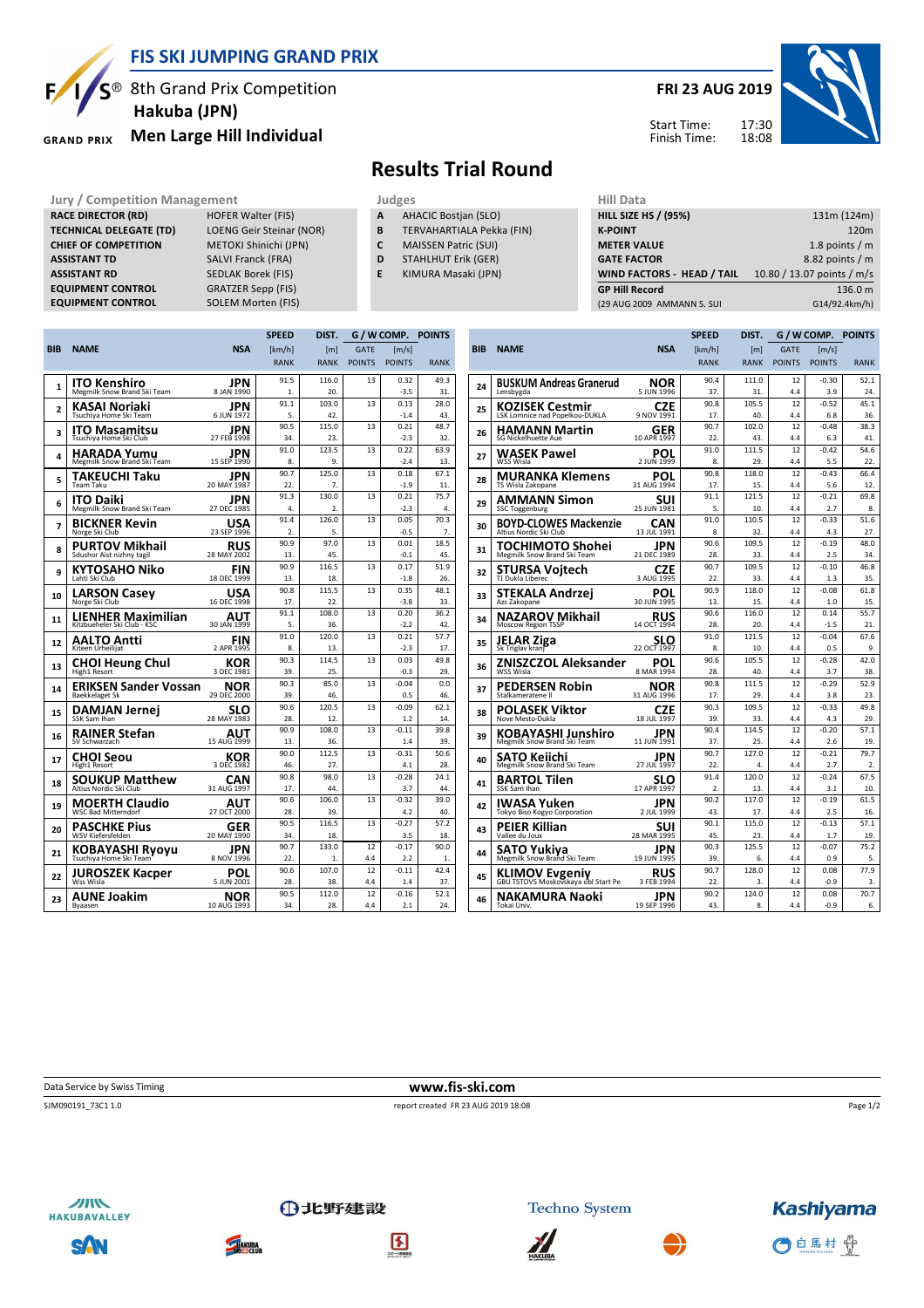

## **FIS SKI JUMPING GRAND PRIX**

8th Grand Prix Competition  **Hakuba (JPN)**

**RACE DIRECTOR (RD)** HOFER Walter (FIS) **TECHNICAL DELEGATE (TD)** LOENG Geir Steinar (NOR) **CHIEF OF COMPETITION** METOKI Shinichi (JPN) **ASSISTANT TD** SALVI Franck (FRA) **ASSISTANT RD** SEDLAK Borek (FIS)<br>**EQUIPMENT CONTROL** GRATZER Sepp (FIS)

**EQUIPMENT CONTROL** SOLEM Morten (FIS)

**GRAND PRIX** 

**EQUIPMENT CONTROL** 

## **Men Large Hill Individual**



## **Results Trial Round**

**Jury / Competition Management department on the United States of the Hill Data** 

- **A** AHACIC Bostjan (SLO)
- **B** TERVAHARTIALA Pekka (FIN)
- **C** MAISSEN Patric (SUI)
- **D** STAHLHUT Erik (GER)
- **E** KIMURA Masaki (JPN)

| niil Data                         |                            |
|-----------------------------------|----------------------------|
| <b>HILL SIZE HS / (95%)</b>       | 131m (124m)                |
| <b>K-POINT</b>                    | 120 <sub>m</sub>           |
| <b>METER VALUE</b>                | 1.8 points $/m$            |
| <b>GATE FACTOR</b>                | 8.82 points / m            |
| <b>WIND FACTORS - HEAD / TAIL</b> | 10.80 / 13.07 points / m/s |
| <b>GP Hill Record</b>             | 136.0 m                    |
| (29 AUG 2009 AMMANN S. SUI        | G14/92.4km/h)              |
|                                   |                            |

Start Time: Finish Time:

|                |                                                     |                    | <b>SPEED</b>             | DIST.            |               |                | G / W COMP. POINTS |
|----------------|-----------------------------------------------------|--------------------|--------------------------|------------------|---------------|----------------|--------------------|
| <b>BIB</b>     | <b>NAME</b>                                         | <b>NSA</b>         | [km/h]                   | [m]              | <b>GATE</b>   | [m/s]          |                    |
|                |                                                     |                    | <b>RANK</b>              | <b>RANK</b>      | <b>POINTS</b> | <b>POINTS</b>  | <b>RANK</b>        |
|                | ITO Kenshiro                                        | JPN                | 91.5                     | 116.0            | 13            | 0.32           | 49.3               |
| 1              | Megmilk Snow Brand Ski Team                         | 8 JAN 1990         | 1.                       | 20.              |               | $-3.5$         | 31.                |
| $\overline{2}$ | KASAI Noriaki                                       | JPN                | 91.1                     | 103.0            | 13            | 0.13           | 28.0               |
|                | Tsuchiya Home Ski Team                              | 6 JUN 1972         | 5.                       | 42.              |               | $-1.4$         | 43.                |
| 3              | <b>ITO Masamitsu</b><br>Tsuchiya Home Ski Club      | JPN<br>27 FEB 1998 | 90.5<br>34.              | 115.0<br>23.     | 13            | 0.21<br>$-2.3$ | 48.7<br>32.        |
|                |                                                     |                    | 91.0                     | 123.5            | 13            | 0.22           | 63.9               |
| 4              | <b>HARADA Yumu</b><br>Megmilk Snow Brand Ski Team   | JPN<br>15 SEP 1990 | 8.                       | 9.               |               | $-2.4$         | 13.                |
|                | TAKEUCHI Taku                                       | JPN                | 90.7                     | 125.0            | 13            | 0.18           | 67.1               |
| 5              | Team Taku                                           | 20 MAY 1987        | 22.                      | 7.               |               | $-1.9$         | 11.                |
| 6              | <b>ITO Daiki</b>                                    | JPN                | 91.3                     | 130.0            | 13            | 0.21           | 75.7               |
|                | Megmilk Snow Brand Ski Team                         | 27 DEC 1985        | 4.                       | $\overline{2}$ . |               | $-2.3$         | 4.                 |
| 7              | <b>BICKNER Kevin</b><br>Norge Ski Club              | USA<br>23 SFP 1996 | 91.4<br>$\mathfrak{D}$ . | 126.0<br>5.      | 13            | 0.05<br>$-0.5$ | 70.3<br>7.         |
|                |                                                     |                    | 90.9                     | 97.0             | 13            | 0.01           | 18.5               |
| 8              | PURTOV Mikhail<br>Sdushor Aist nizhny tagil         | RUS<br>28 MAY 2002 | 13.                      | 45.              |               | $-0.1$         | 45.                |
|                | KYTOSAHO Niko                                       | FIN                | 90.9                     | 116.5            | 13            | 0.17           | 51.9               |
| 9              | Lahti Ski Club                                      | 18 DEC 1999        | 13.                      | 18.              |               | $-1.8$         | 26.                |
| 10             | <b>LARSON Casev</b>                                 | USA                | 90.8                     | 115.5            | 13            | 0.35           | 48.1               |
|                | Norge Ski Club                                      | 16 DEC 1998        | 17.                      | 22.              |               | $-3.8$         | 33.                |
| 11             | LIENHER Maximilian<br>Kitzbueheler Ski Club - KSC   | AUT<br>30 JAN 1999 | 91.1<br>5.               | 108.0<br>36.     | 13            | 0.20<br>$-2.2$ | 36.2<br>42.        |
|                |                                                     |                    | 91.0                     | 120.0            | 13            | 0.21           | 57.7               |
| 12             | AALTO Antti<br>Kiteen Urheilijat                    | FIN<br>2 APR 1995  | 8.                       | 13.              |               | $-2.3$         | 17.                |
| 13             | <b>CHOI Heung Chul</b>                              | KOR                | 90.3                     | 114.5            | 13            | 0.03           | 49.8               |
|                | High1 Resort                                        | 3 DEC 1981         | 39.                      | 25.              |               | $-0.3$         | 29.                |
| 14             | <b>ERIKSEN Sander Vossan</b>                        | NOR                | 90.3                     | 85.0             | 13            | $-0.04$        | 0.0                |
|                | <b>Baekkelaget Sk</b>                               | 29 DEC 2000        | 39.<br>90.6              | 46.<br>120.5     | 13            | 0.5<br>$-0.09$ | 46.<br>62.1        |
| 15             | <b>DAMJAN Jernei</b><br>SSK Sam Ihan                | SLO<br>28 MAY 1983 | 28.                      | 12.              |               | 1.2            | 14.                |
|                | <b>RAINER Stefan</b>                                | AUT                | 90.9                     | 108.0            | 13            | $-0.11$        | 39.8               |
| 16             | SV Schwarzach                                       | 15 AUG 1999        | 13.                      | 36.              |               | 1.4            | 39.                |
| 17             | CHOI Seou                                           | KOR                | 90.0                     | 112.5            | 13            | $-0.31$        | 50.6               |
|                | High1 Resort                                        | 3 DEC 1982         | 46.                      | 27.              |               | 4.1            | 28.                |
| 18             | <b>SOUKUP Matthew</b>                               | CAN                | 90.8                     | 98.0             | 13            | $-0.28$        | 24.1               |
|                | Altius Nordic Ski Club                              | 31 AUG 1997        | 17.<br>90.6              | 44.<br>106.0     | 13            | 3.7<br>$-0.32$ | 44.<br>39.0        |
| 19             | <b>MOERTH Claudio</b><br><b>WSC Bad Mitterndorf</b> | AUT<br>27 OCT 2000 | 28.                      | 39.              |               | 4.2            | 40.                |
|                | <b>PASCHKE Pius</b>                                 | GER                | 90.5                     | 116.5            | 13            | $-0.27$        | 57.2               |
| 20             | <b>WSV Kiefersfelden</b>                            | 20 MAY 1990        | 34.                      | 18.              |               | 3.5            | 18.                |
| 21             | KOBAYASHI Ryoyu                                     | JPN                | 90.7                     | 133.0            | 12            | $-0.17$        | 90.0               |
|                | Tsuchiya Home Ski Team                              | 8 NOV 1996         | 22.                      | 1.               | 4.4           | 2.2            | 1.                 |
| 22             | <b>JUROSZEK Kacper</b>                              | POL                | 90.6                     | 107.0            | 12            | $-0.11$        | 42.4               |
|                | Wss Wisla                                           | 5 JUN 2001         | 28.<br>90.5              | 38.<br>112.0     | 4.4<br>12     | 1.4<br>$-0.16$ | 37.                |
| 23             | AUNE Joakim<br>Byaasen                              | NOR<br>10 AUG 1993 | 34.                      | 28.              | 4.4           | 2.1            | 52.1<br>24.        |
|                |                                                     |                    |                          |                  |               |                |                    |

|            |                                                              |                           | <b>SPEED</b> | DIST.        |               | G / W COMP.         | <b>POINTS</b> |
|------------|--------------------------------------------------------------|---------------------------|--------------|--------------|---------------|---------------------|---------------|
| <b>BIB</b> | <b>NAME</b>                                                  | <b>NSA</b>                | [km/h]       | [ml]         | <b>GATE</b>   | $\lceil m/s \rceil$ |               |
|            |                                                              |                           | <b>RANK</b>  | <b>RANK</b>  | <b>POINTS</b> | <b>POINTS</b>       | <b>RANK</b>   |
|            | <b>BUSKUM Andreas Granerud</b>                               | NOR                       | 90.4         | 111.0        | 12            | $-0.30$             | 52.1          |
| 24         | Lensbygda                                                    | 5 JUN 1996                | 37.          | 31.          | 4.4           | 3.9                 | 24.           |
| 25         | KOZISEK Cestmir                                              | CZE                       | 90.8         | 105.5        | 12            | $-0.52$             | 45.1          |
|            | LSK Lomnice nad Popelkou-DUKLA                               | 9 NOV 1991                | 17.<br>90.7  | 40.<br>102.0 | 4.4<br>12     | 6.8<br>$-0.48$      | 36.<br>38.3   |
| 26         | HAMANN Martin<br><b>SG Nickelhuette Aue</b>                  | <b>GER</b><br>10 APR 1997 | 22.          | 43.          | 4.4           | 6.3                 | 41.           |
| 27         | WASEK Pawel                                                  | POL                       | 91.0         | 111.5        | 12            | $-0.42$             | 54.6          |
|            | WSS Wisla                                                    | 2 JUN 1999                | 8.<br>90.8   | 29.<br>118.0 | 4.4<br>12     | 5.5<br>$-0.43$      | 22.<br>66.4   |
| 28         | MURANKA Klemens<br>TS Wisla Zakopane                         | POL<br>31 AUG 1994        | 17.          | 15.          | 4.4           | 5.6                 | 12.           |
|            | AMMANN Simon                                                 | sui                       | 91.1         | 121.5        | 12            | $-0.21$             | 69.8          |
| 29         | <b>SSC Toggenburg</b>                                        | 25 JUN 1981               | 5.           | 10.          | 4.4           | 2.7                 | 8.            |
| 30         | BOYD-CLOWES Mackenzie                                        | CAN                       | 91.0         | 110.5        | 12            | $-0.33$             | 51.6          |
|            | Altius Nordic Ski Club                                       | 13 JUL 1991               | 8.           | 32.          | 4.4           | 4.3                 | 27.           |
| 31         | TOCHIMOTO Shohei                                             | JPN                       | 90.6         | 109.5        | 12            | $-0.19$             | 48.0          |
|            | Megmilk Snow Brand Ski Team                                  | 21 DEC 1989               | 28.<br>90.7  | 33.<br>109.5 | 4.4<br>12     | 2.5<br>$-0.10$      | 34.<br>46.8   |
| 32         | <b>STURSA Vojtech</b><br>TJ Dukla Liberec                    | CZE<br>3 AUG 1995         | 22.          | 33.          | 4.4           | 1.3                 | 35.           |
|            | STEKALA Andrzej                                              | POL                       | 90.9         | 118.0        | 12            | $-0.08$             | 61.8          |
| 33         | Azs Zakopane                                                 | 30 JUN 1995               | 13.          | 15.          | 4.4           | 1.0                 | 15.           |
| 34         | NAZAROV Mikhail                                              | RUS                       | 90.6         | 116.0        | 12            | 0.14                | 55.7          |
|            | Moscow Region TSSP                                           | 14 OCT 1994               | 28.          | 20.          | 4.4           | $-1.5$              | 21.           |
| 35         | JELAR Ziga<br>Sk Triglav kranj                               | SLO<br>22 OCT 1997        | 91.0<br>8.   | 121.5<br>10. | 12<br>4.4     | $-0.04$<br>0.5      | 67.6<br>9.    |
|            | ZNISZCZOL Aleksander                                         | POL                       | 90.6         | 105.5        | 12            | $-0.28$             | 42.0          |
| 36         | WSS Wisla                                                    | 8 MAR 1994                | 28.          | 40.          | 4.4           | 3.7                 | 38.           |
| 37         | <b>PEDERSEN Robin</b><br>Stalkameratene II                   | NOR<br>31 AUG 1996        | 90.8<br>17.  | 111.5<br>29. | 12<br>4.4     | $-0.29$<br>3.8      | 52.9<br>23.   |
|            |                                                              |                           | 90.3         | 109.5        | 12            | $-0.33$             | 49.8          |
| 38         | POLASEK Viktor<br>Nove Mesto-Dukla                           | CZE<br>18 JUL 1997        | 39.          | 33.          | 4.4           | 4.3                 | 29.           |
| 39         | KOBAYASHI Junshiro                                           | JPN                       | 90.4         | 114.5        | 12            | $-0.20$             | 57.1          |
|            | Megmilk Snow Brand Ski Team                                  | 11 JUN 1991               | 37.          | 25.          | 4.4           | 2.6                 | 19.           |
| 40         | SATO Keiichi<br>Megmilk Snow Brand Ski Team                  | JPN<br>27 JUL 1997        | 90.7<br>22.  | 127.0<br>4.  | 12<br>4.4     | $-0.21$<br>2.7      | 79.7<br>2.    |
|            | BARTOL Tilen                                                 | SLO                       | 91.4         | 120.0        | 12            | $-0.24$             | 67.5          |
| 41         | SSK Sam Ihan                                                 | 17 APR 1997               | 2.           | 13.          | 4.4           | 3.1                 | 10.           |
| 42         | IWASA Yuken                                                  | JPN                       | 90.2         | 117.0        | 12            | $-0.19$             | 61.5          |
|            | Tokyo Biso Kogyo Corporation                                 | 2 JUL 1999                | 43.          | 17.          | 4.4           | 2.5                 | 16.           |
| 43         | PEIER Killian<br>Vallee du Joux                              | SUI<br>28 MAR 1995        | 90.1<br>45.  | 115.0<br>23. | 12<br>4.4     | $-0.13$<br>1.7      | 57.1<br>19.   |
|            | SATO Yukiya                                                  | JPN                       | 90.3         | 125.5        | 12            | $-0.07$             | 75.2          |
| 44         | Megmilk Snow Brand Ski Team                                  | 19 JUN 1995               | 39.          | 6.           | 4.4           | 0.9                 | 5.            |
| 45         | <b>KLIMOV Evgeniy</b><br>GBU TSTOVS Moskovskaya obl Start Pe | RUS                       | 90.7         | 128.0        | 12            | 0.08                | 77.9          |
|            |                                                              | 3 FEB 1994                | 22.          | 3.           | 4.4           | $-0.9$              | 3.            |
| 46         | NAKAMURA Naoki<br>Tokai Univ.                                | JPN<br>19 SEP 1996        | 90.2<br>43.  | 124.0<br>8.  | 12<br>4.4     | 0.08<br>$-0.9$      | 70.7<br>6.    |
|            |                                                              |                           |              |              |               |                     |               |

Data Service by Swiss Timing **www.fis-ski.com**

SJM090191\_73C1 1.0 report created FR 23 AUG 2019 18:08

Page 1/2



SAN



**THAKUBA** 



①北野建設



**Techno System** 

H